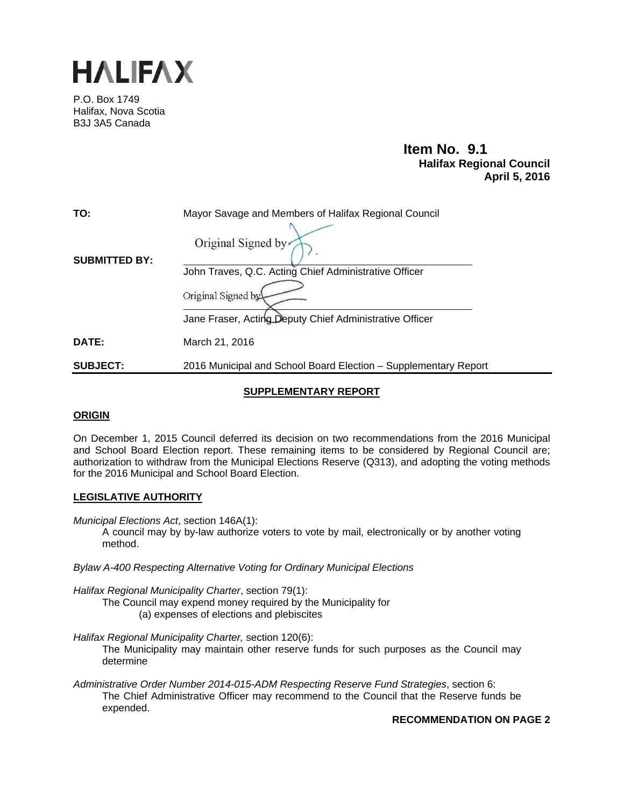

P.O. Box 1749 Halifax, Nova Scotia B3J 3A5 Canada

### **Item No. 9.1**<br>**Halifax Regional Council April 5, 2016**

| TO:                  | Mayor Savage and Members of Halifax Regional Council            |  |  |
|----------------------|-----------------------------------------------------------------|--|--|
| <b>SUBMITTED BY:</b> | Original Signed by                                              |  |  |
|                      | John Traves, Q.C. Acting Chief Administrative Officer           |  |  |
|                      | Original Signed by                                              |  |  |
|                      | Jane Fraser, Acting Deputy Chief Administrative Officer         |  |  |
| <b>DATE:</b>         | March 21, 2016                                                  |  |  |
| <b>SUBJECT:</b>      | 2016 Municipal and School Board Election - Supplementary Report |  |  |

#### **SUPPLEMENTARY REPORT**

#### **ORIGIN**

On December 1, 2015 Council deferred its decision on two recommendations from the 2016 Municipal and School Board Election report. These remaining items to be considered by Regional Council are; authorization to withdraw from the Municipal Elections Reserve (Q313), and adopting the voting methods for the 2016 Municipal and School Board Election.

#### **LEGISLATIVE AUTHORITY**

*Municipal Elections Act*, section 146A(1):

A council may by by-law authorize voters to vote by mail, electronically or by another voting method.

*Bylaw A-400 Respecting Alternative Voting for Ordinary Municipal Elections*

*Halifax Regional Municipality Charter*, section 79(1):

- The Council may expend money required by the Municipality for
	- (a) expenses of elections and plebiscites
- *Halifax Regional Municipality Charter,* section 120(6):
	- The Municipality may maintain other reserve funds for such purposes as the Council may determine
- *Administrative Order Number 2014-015-ADM Respecting Reserve Fund Strategies*, section 6: The Chief Administrative Officer may recommend to the Council that the Reserve funds be expended.

**RECOMMENDATION ON PAGE 2**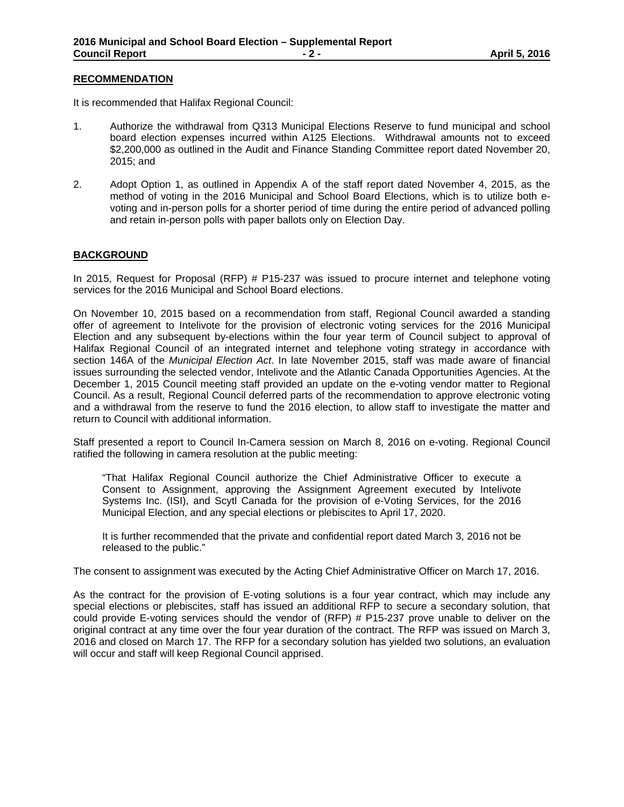#### **RECOMMENDATION**

It is recommended that Halifax Regional Council:

- 1. Authorize the withdrawal from Q313 Municipal Elections Reserve to fund municipal and school board election expenses incurred within A125 Elections. Withdrawal amounts not to exceed \$2,200,000 as outlined in the Audit and Finance Standing Committee report dated November 20, 2015; and
- 2. Adopt Option 1, as outlined in Appendix A of the staff report dated November 4, 2015, as the method of voting in the 2016 Municipal and School Board Elections, which is to utilize both evoting and in-person polls for a shorter period of time during the entire period of advanced polling and retain in-person polls with paper ballots only on Election Day.

#### **BACKGROUND**

In 2015, Request for Proposal (RFP) # P15-237 was issued to procure internet and telephone voting services for the 2016 Municipal and School Board elections.

On November 10, 2015 based on a recommendation from staff, Regional Council awarded a standing offer of agreement to Intelivote for the provision of electronic voting services for the 2016 Municipal Election and any subsequent by-elections within the four year term of Council subject to approval of Halifax Regional Council of an integrated internet and telephone voting strategy in accordance with section 146A of the *Municipal Election Act*. In late November 2015, staff was made aware of financial issues surrounding the selected vendor, Intelivote and the Atlantic Canada Opportunities Agencies. At the December 1, 2015 Council meeting staff provided an update on the e-voting vendor matter to Regional Council. As a result, Regional Council deferred parts of the recommendation to approve electronic voting and a withdrawal from the reserve to fund the 2016 election, to allow staff to investigate the matter and return to Council with additional information.

Staff presented a report to Council In-Camera session on March 8, 2016 on e-voting. Regional Council ratified the following in camera resolution at the public meeting:

"That Halifax Regional Council authorize the Chief Administrative Officer to execute a Consent to Assignment, approving the Assignment Agreement executed by Intelivote Systems Inc. (ISI), and Scytl Canada for the provision of e-Voting Services, for the 2016 Municipal Election, and any special elections or plebiscites to April 17, 2020.

It is further recommended that the private and confidential report dated March 3, 2016 not be released to the public."

The consent to assignment was executed by the Acting Chief Administrative Officer on March 17, 2016.

As the contract for the provision of E-voting solutions is a four year contract, which may include any special elections or plebiscites, staff has issued an additional RFP to secure a secondary solution, that could provide E-voting services should the vendor of (RFP) # P15-237 prove unable to deliver on the original contract at any time over the four year duration of the contract. The RFP was issued on March 3, 2016 and closed on March 17. The RFP for a secondary solution has yielded two solutions, an evaluation will occur and staff will keep Regional Council apprised.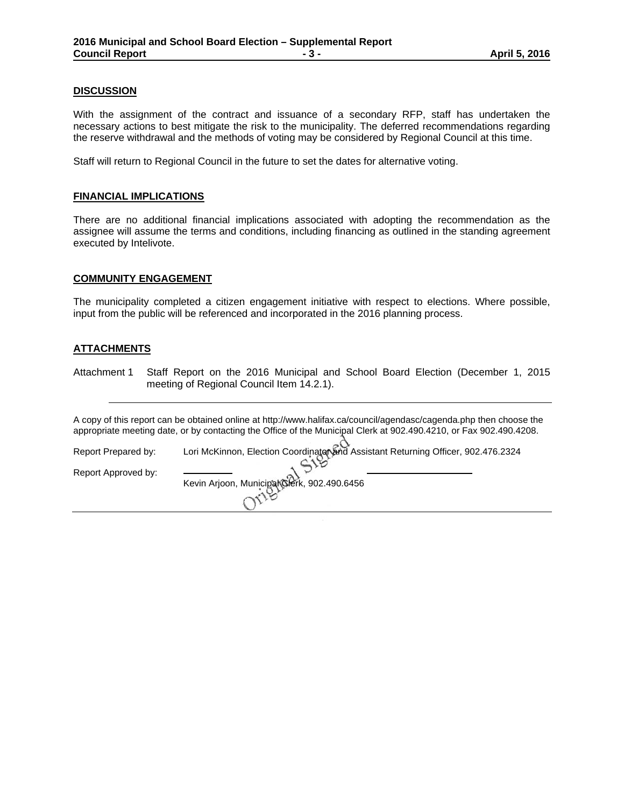#### **DISCUSSION**

With the assignment of the contract and issuance of a secondary RFP, staff has undertaken the necessary actions to best mitigate the risk to the municipality. The deferred recommendations regarding the reserve withdrawal and the methods of voting may be considered by Regional Council at this time.

Staff will return to Regional Council in the future to set the dates for alternative voting.

#### **FINANCIAL IMPLICATIONS**

There are no additional financial implications associated with adopting the recommendation as the assignee will assume the terms and conditions, including financing as outlined in the standing agreement executed by Intelivote.

#### **COMMUNITY ENGAGEMENT**

The municipality completed a citizen engagement initiative with respect to elections. Where possible, input from the public will be referenced and incorporated in the 2016 planning process.

#### **ATTACHMENTS**

Attachment 1 Staff Report on the 2016 Municipal and School Board Election (December 1, 2015 meeting of Regional Council Item 14.2.1).

A copy of this report can be obtained online at http://www.halifax.ca/council/agendasc/cagenda.php then choose the appropriate meeting date, or by contacting the Office of the Municipal Clerk at 902.490.4210, or Fax 902.490.4208.

Report Prepared by: Lori McKinnon, Election Coordinator and Assistant Returning Officer, 902.476.2324 Report Approved by: Kevin Arjoon, Municipal Clerk, 902.490.6456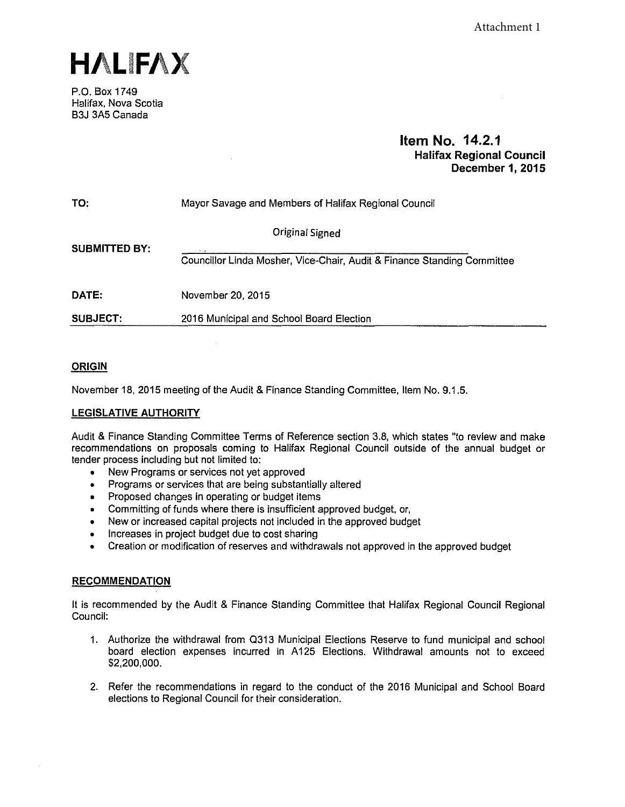**HALIFAX** 

P.O. Box 1749 Halifax, Nova Scotia B3J 3A5 Canada

#### **Item No. 14.2.1 Halifax Regional Council December 1, 2015**

| TO:                  | Mayor Savage and Members of Halifax Regional Council                    |  |  |  |
|----------------------|-------------------------------------------------------------------------|--|--|--|
| <b>SUBMITTED BY:</b> | Original Signed                                                         |  |  |  |
|                      | Councillor Linda Mosher, Vice-Chair, Audit & Finance Standing Committee |  |  |  |
| DATE:                | November 20, 2015                                                       |  |  |  |
| <b>SUBJECT:</b>      | 2016 Municipal and School Board Election                                |  |  |  |

#### **ORIGIN**

November 18, 2015 meeting of the Audit & Finance Standing Committee, Item No. 9.1.5.

#### **LEGISLATIVE AUTHORITY**

Audit & Finance Standing Committee Terms of Reference section 3.8, which states "to review and make recommendations on proposals coming to Halifax Regional Council outside of the annual budget or tender process including but not limited to:

- New Programs or services not yet approved
- Programs or services that are being substantially altered
- Proposed changes in operating or budget items
- Committing of funds where there is insufficient approved budget, or,
- New or increased capital projects not included in the approved budget
- Increases in project budget due to cost sharing
- Creation or modification of reserves and withdrawals not approved in the approved budget

#### **RECOMMENDATION**

It is recommended by the Audit & Finance Standing Committee that Halifax Regional Council Regional Council:

- 1. Authorize the withdrawal from 0313 Municipal Elections Reserve to fund municipal and school board election expenses incurred in A125 Elections. Withdrawal amounts not to exceed \$2,200,000.
- 2. Refer the recommendations in regard to the conduct of the 2016 Municipal and School Board elections to Regional Council for their consideration.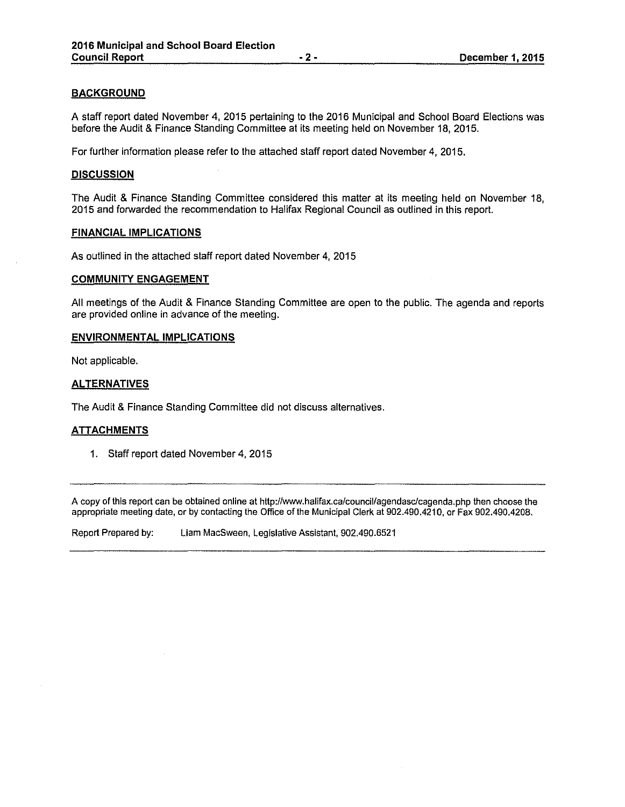#### **BACKGROUND**

A staff report dated November 4, 2015 pertaining to the 2016 Municipal and School Board Elections was before the Audit & Finance Standing Committee at its meeting held on November 18, 2015.

For further information please refer to the attached staff report dated November 4, 2015.

#### **DISCUSSION**

The Audit & Finance Standing Committee considered this matter at its meeting held on November 18, 2015 and forwarded the recommendation to Halifax Regional Council as outlined in this report.

#### **FINANCIAL IMPLICATIONS**

As outlined in the attached staff report dated November 4, 2015

#### **COMMUNITY ENGAGEMENT**

All meetings of the Audit & Finance Standing Committee are open to the public. The agenda and reports are provided online in advance of the meeting.

#### **ENVIRONMENTAL IMPLICATIONS**

Not applicable.

#### **ALTERNATIVES**

The Audit & Finance Standing Committee did not discuss alternatives.

#### **ATTACHMENTS**

1. Staff report dated November 4, 2015

A copy of this report can be obtained online at http://www.halifax.ca/council/agendasc/cagenda.php then choose the appropriate meeting date, or by contacting the Office of the Municipal Clerk at 902.490.4210, or Fax 902.490.4208.

Report Prepared by: Liam MacSween, Legislative Assistant, 902.490.6521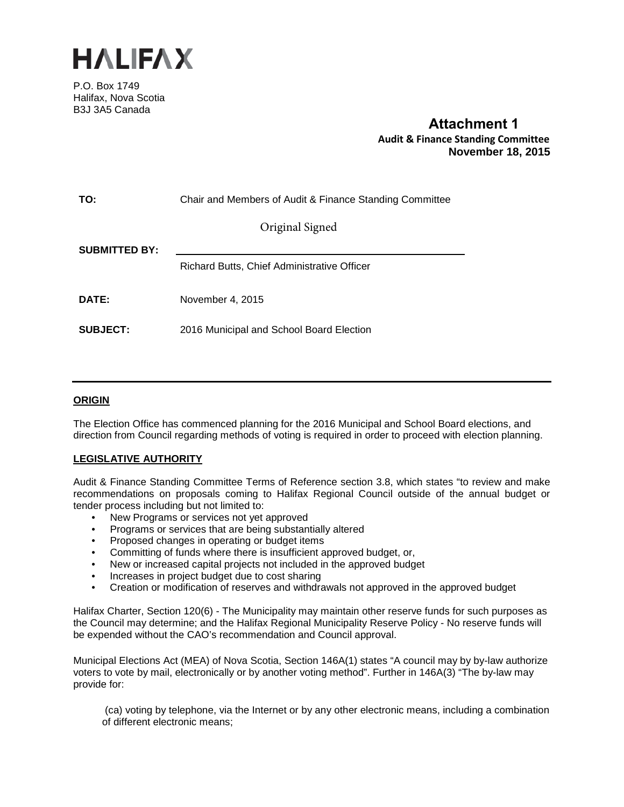

P.O. Box 1749 Halifax, Nova Scotia B3J 3A5 Canada

### **Attachment 1 Audit & Finance Standing Committee November 18, 2015**

| TO:                  | Chair and Members of Audit & Finance Standing Committee |  |  |
|----------------------|---------------------------------------------------------|--|--|
|                      | Original Signed                                         |  |  |
| <b>SUBMITTED BY:</b> |                                                         |  |  |
|                      | Richard Butts, Chief Administrative Officer             |  |  |
| DATE:                | November 4, 2015                                        |  |  |
| <b>SUBJECT:</b>      | 2016 Municipal and School Board Election                |  |  |

#### **ORIGIN**

The Election Office has commenced planning for the 2016 Municipal and School Board elections, and direction from Council regarding methods of voting is required in order to proceed with election planning.

#### **LEGISLATIVE AUTHORITY**

Audit & Finance Standing Committee Terms of Reference section 3.8, which states "to review and make recommendations on proposals coming to Halifax Regional Council outside of the annual budget or tender process including but not limited to:

- New Programs or services not yet approved
- Programs or services that are being substantially altered
- Proposed changes in operating or budget items
- Committing of funds where there is insufficient approved budget, or,
- New or increased capital projects not included in the approved budget
- Increases in project budget due to cost sharing
- Creation or modification of reserves and withdrawals not approved in the approved budget

Halifax Charter, Section 120(6) - The Municipality may maintain other reserve funds for such purposes as the Council may determine; and the Halifax Regional Municipality Reserve Policy - No reserve funds will be expended without the CAO's recommendation and Council approval.

Municipal Elections Act (MEA) of Nova Scotia, Section 146A(1) states "A council may by by-law authorize voters to vote by mail, electronically or by another voting method". Further in 146A(3) "The by-law may provide for:

(ca) voting by telephone, via the Internet or by any other electronic means, including a combination of different electronic means;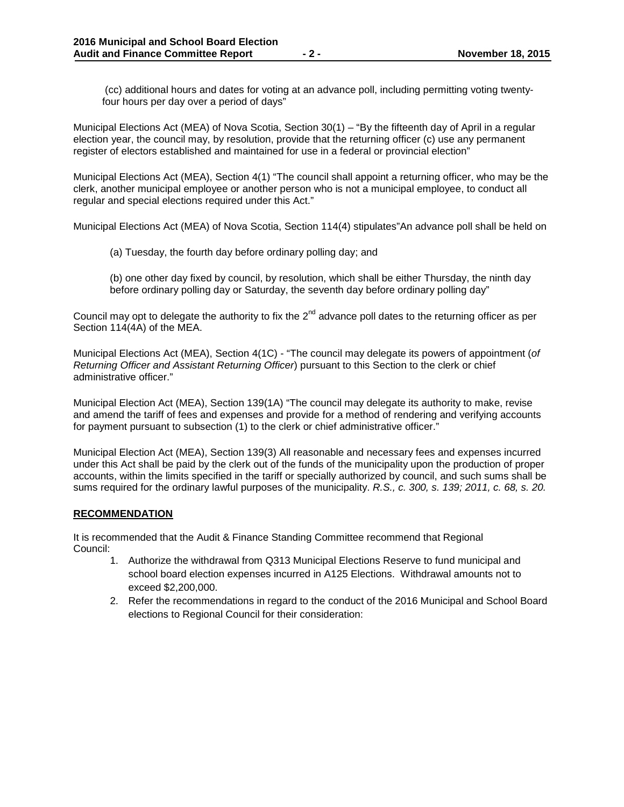(cc) additional hours and dates for voting at an advance poll, including permitting voting twentyfour hours per day over a period of days"

Municipal Elections Act (MEA) of Nova Scotia, Section 30(1) – "By the fifteenth day of April in a regular election year, the council may, by resolution, provide that the returning officer (c) use any permanent register of electors established and maintained for use in a federal or provincial election"

Municipal Elections Act (MEA), Section 4(1) "The council shall appoint a returning officer, who may be the clerk, another municipal employee or another person who is not a municipal employee, to conduct all regular and special elections required under this Act."

Municipal Elections Act (MEA) of Nova Scotia, Section 114(4) stipulates"An advance poll shall be held on

(a) Tuesday, the fourth day before ordinary polling day; and

(b) one other day fixed by council, by resolution, which shall be either Thursday, the ninth day before ordinary polling day or Saturday, the seventh day before ordinary polling day"

Council may opt to delegate the authority to fix the  $2^{nd}$  advance poll dates to the returning officer as per Section 114(4A) of the MEA.

Municipal Elections Act (MEA), Section 4(1C) - "The council may delegate its powers of appointment (*of Returning Officer and Assistant Returning Officer*) pursuant to this Section to the clerk or chief administrative officer."

Municipal Election Act (MEA), Section 139(1A) "The council may delegate its authority to make, revise and amend the tariff of fees and expenses and provide for a method of rendering and verifying accounts for payment pursuant to subsection (1) to the clerk or chief administrative officer."

Municipal Election Act (MEA), Section 139(3) All reasonable and necessary fees and expenses incurred under this Act shall be paid by the clerk out of the funds of the municipality upon the production of proper accounts, within the limits specified in the tariff or specially authorized by council, and such sums shall be sums required for the ordinary lawful purposes of the municipality. *R.S., c. 300, s. 139; 2011, c. 68, s. 20.*

#### **RECOMMENDATION**

It is recommended that the Audit & Finance Standing Committee recommend that Regional Council:

- 1. Authorize the withdrawal from Q313 Municipal Elections Reserve to fund municipal and school board election expenses incurred in A125 Elections. Withdrawal amounts not to exceed \$2,200,000.
- 2. Refer the recommendations in regard to the conduct of the 2016 Municipal and School Board elections to Regional Council for their consideration: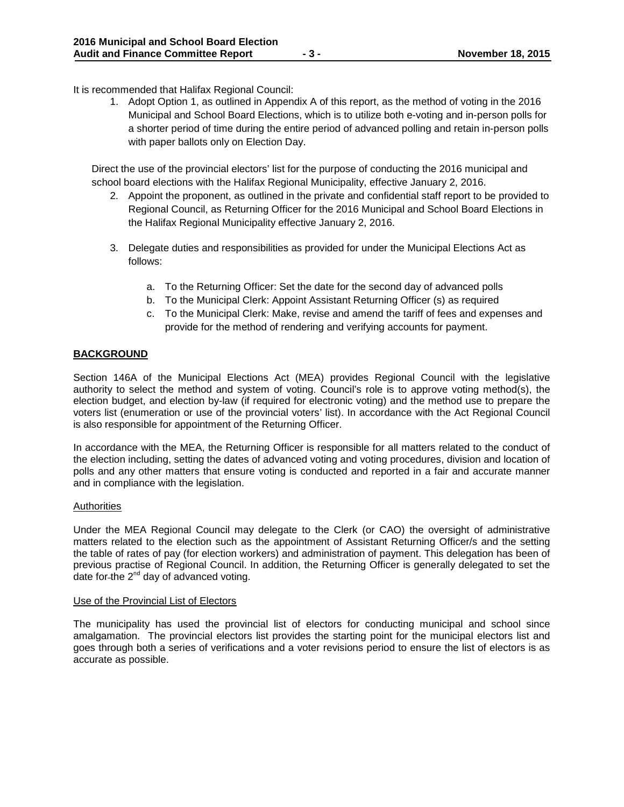It is recommended that Halifax Regional Council:

1. Adopt Option 1, as outlined in Appendix A of this report, as the method of voting in the 2016 Municipal and School Board Elections, which is to utilize both e-voting and in-person polls for a shorter period of time during the entire period of advanced polling and retain in-person polls with paper ballots only on Election Day.

Direct the use of the provincial electors' list for the purpose of conducting the 2016 municipal and school board elections with the Halifax Regional Municipality, effective January 2, 2016.

- 2. Appoint the proponent, as outlined in the private and confidential staff report to be provided to Regional Council, as Returning Officer for the 2016 Municipal and School Board Elections in the Halifax Regional Municipality effective January 2, 2016.
- 3. Delegate duties and responsibilities as provided for under the Municipal Elections Act as follows:
	- a. To the Returning Officer: Set the date for the second day of advanced polls
	- b. To the Municipal Clerk: Appoint Assistant Returning Officer (s) as required
	- c. To the Municipal Clerk: Make, revise and amend the tariff of fees and expenses and provide for the method of rendering and verifying accounts for payment.

#### **BACKGROUND**

Section 146A of the Municipal Elections Act (MEA) provides Regional Council with the legislative authority to select the method and system of voting. Council's role is to approve voting method(s), the election budget, and election by-law (if required for electronic voting) and the method use to prepare the voters list (enumeration or use of the provincial voters' list). In accordance with the Act Regional Council is also responsible for appointment of the Returning Officer.

In accordance with the MEA, the Returning Officer is responsible for all matters related to the conduct of the election including, setting the dates of advanced voting and voting procedures, division and location of polls and any other matters that ensure voting is conducted and reported in a fair and accurate manner and in compliance with the legislation.

#### Authorities

Under the MEA Regional Council may delegate to the Clerk (or CAO) the oversight of administrative matters related to the election such as the appointment of Assistant Returning Officer/s and the setting the table of rates of pay (for election workers) and administration of payment. This delegation has been of previous practise of Regional Council. In addition, the Returning Officer is generally delegated to set the date for-the  $2^{nd}$  day of advanced voting.

#### Use of the Provincial List of Electors

The municipality has used the provincial list of electors for conducting municipal and school since amalgamation. The provincial electors list provides the starting point for the municipal electors list and goes through both a series of verifications and a voter revisions period to ensure the list of electors is as accurate as possible.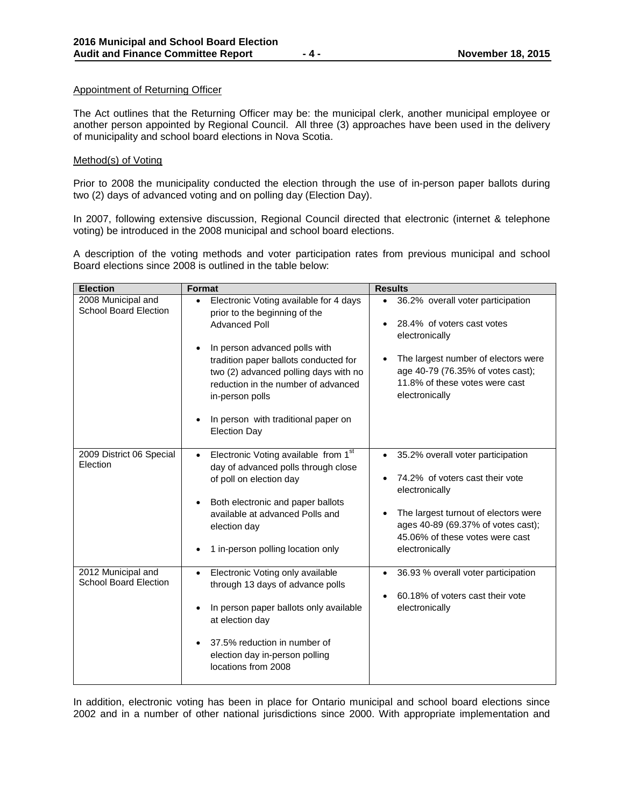#### Appointment of Returning Officer

The Act outlines that the Returning Officer may be: the municipal clerk, another municipal employee or another person appointed by Regional Council. All three (3) approaches have been used in the delivery of municipality and school board elections in Nova Scotia.

#### Method(s) of Voting

Prior to 2008 the municipality conducted the election through the use of in-person paper ballots during two (2) days of advanced voting and on polling day (Election Day).

In 2007, following extensive discussion, Regional Council directed that electronic (internet & telephone voting) be introduced in the 2008 municipal and school board elections.

A description of the voting methods and voter participation rates from previous municipal and school Board elections since 2008 is outlined in the table below:

| <b>Election</b>                                    | <b>Format</b>                                                                                                                                                                                                                                                                                                                                 | <b>Results</b>                                                                                                                                                                                                                 |
|----------------------------------------------------|-----------------------------------------------------------------------------------------------------------------------------------------------------------------------------------------------------------------------------------------------------------------------------------------------------------------------------------------------|--------------------------------------------------------------------------------------------------------------------------------------------------------------------------------------------------------------------------------|
| 2008 Municipal and<br><b>School Board Election</b> | Electronic Voting available for 4 days<br>$\bullet$<br>prior to the beginning of the<br><b>Advanced Poll</b><br>In person advanced polls with<br>$\bullet$<br>tradition paper ballots conducted for<br>two (2) advanced polling days with no<br>reduction in the number of advanced<br>in-person polls<br>In person with traditional paper on | 36.2% overall voter participation<br>$\bullet$<br>28.4% of voters cast votes<br>electronically<br>The largest number of electors were<br>age 40-79 (76.35% of votes cast);<br>11.8% of these votes were cast<br>electronically |
|                                                    | <b>Election Day</b>                                                                                                                                                                                                                                                                                                                           |                                                                                                                                                                                                                                |
| 2009 District 06 Special<br>Election               | Electronic Voting available from 1 <sup>st</sup><br>$\bullet$<br>day of advanced polls through close<br>of poll on election day<br>Both electronic and paper ballots<br>available at advanced Polls and<br>election day<br>1 in-person polling location only                                                                                  | 35.2% overall voter participation<br>74.2% of voters cast their vote<br>electronically<br>The largest turnout of electors were<br>ages 40-89 (69.37% of votes cast);<br>45.06% of these votes were cast                        |
| 2012 Municipal and<br><b>School Board Election</b> | Electronic Voting only available<br>$\bullet$<br>through 13 days of advance polls<br>In person paper ballots only available<br>at election day<br>37.5% reduction in number of<br>election day in-person polling<br>locations from 2008                                                                                                       | electronically<br>36.93 % overall voter participation<br>$\bullet$<br>60.18% of voters cast their vote<br>electronically                                                                                                       |

In addition, electronic voting has been in place for Ontario municipal and school board elections since 2002 and in a number of other national jurisdictions since 2000. With appropriate implementation and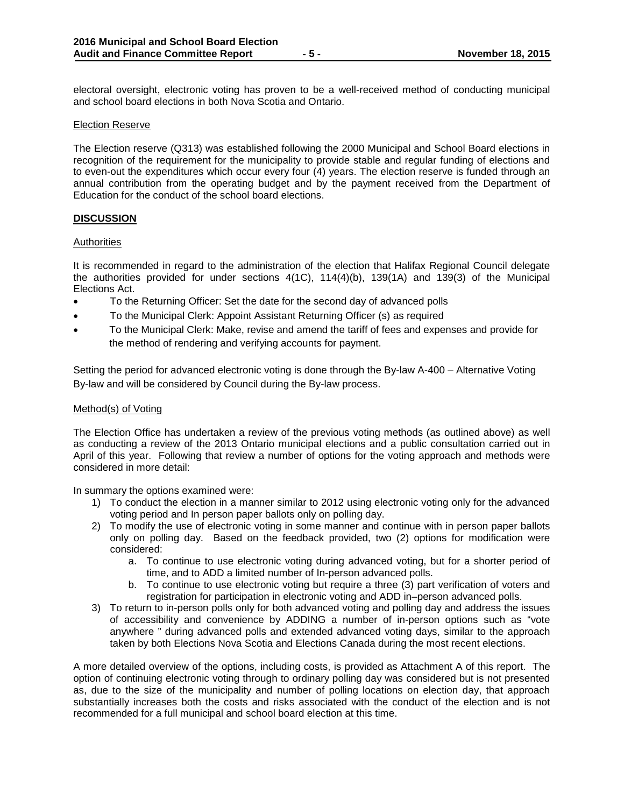electoral oversight, electronic voting has proven to be a well-received method of conducting municipal and school board elections in both Nova Scotia and Ontario.

#### Election Reserve

The Election reserve (Q313) was established following the 2000 Municipal and School Board elections in recognition of the requirement for the municipality to provide stable and regular funding of elections and to even-out the expenditures which occur every four (4) years. The election reserve is funded through an annual contribution from the operating budget and by the payment received from the Department of Education for the conduct of the school board elections.

#### **DISCUSSION**

#### Authorities

It is recommended in regard to the administration of the election that Halifax Regional Council delegate the authorities provided for under sections 4(1C), 114(4)(b), 139(1A) and 139(3) of the Municipal Elections Act.

- To the Returning Officer: Set the date for the second day of advanced polls
- To the Municipal Clerk: Appoint Assistant Returning Officer (s) as required
- To the Municipal Clerk: Make, revise and amend the tariff of fees and expenses and provide for the method of rendering and verifying accounts for payment.

Setting the period for advanced electronic voting is done through the By-law A-400 – Alternative Voting By-law and will be considered by Council during the By-law process.

#### Method(s) of Voting

The Election Office has undertaken a review of the previous voting methods (as outlined above) as well as conducting a review of the 2013 Ontario municipal elections and a public consultation carried out in April of this year. Following that review a number of options for the voting approach and methods were considered in more detail:

In summary the options examined were:

- 1) To conduct the election in a manner similar to 2012 using electronic voting only for the advanced voting period and In person paper ballots only on polling day.
- 2) To modify the use of electronic voting in some manner and continue with in person paper ballots only on polling day. Based on the feedback provided, two (2) options for modification were considered:
	- a. To continue to use electronic voting during advanced voting, but for a shorter period of time, and to ADD a limited number of In-person advanced polls.
	- b. To continue to use electronic voting but require a three (3) part verification of voters and registration for participation in electronic voting and ADD in–person advanced polls.
- 3) To return to in-person polls only for both advanced voting and polling day and address the issues of accessibility and convenience by ADDING a number of in-person options such as "vote anywhere " during advanced polls and extended advanced voting days, similar to the approach taken by both Elections Nova Scotia and Elections Canada during the most recent elections.

A more detailed overview of the options, including costs, is provided as Attachment A of this report. The option of continuing electronic voting through to ordinary polling day was considered but is not presented as, due to the size of the municipality and number of polling locations on election day, that approach substantially increases both the costs and risks associated with the conduct of the election and is not recommended for a full municipal and school board election at this time.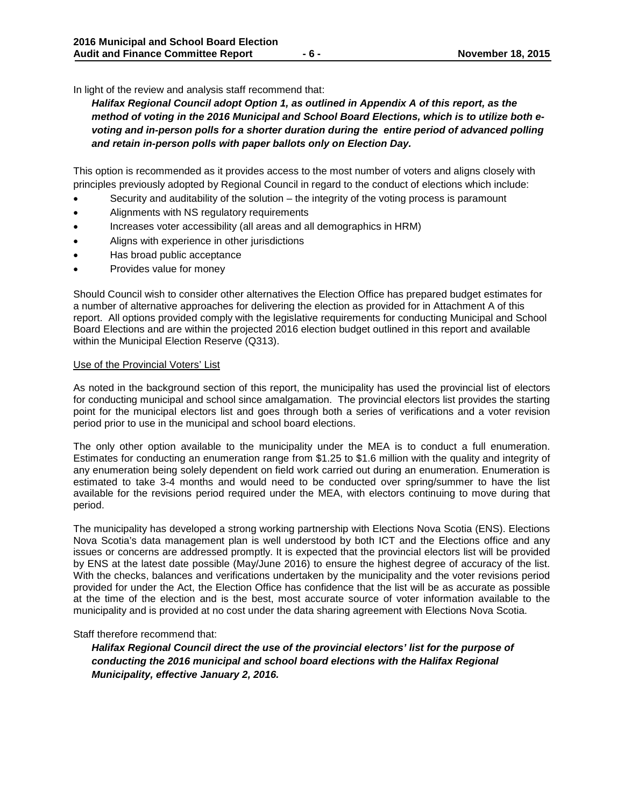In light of the review and analysis staff recommend that:

*Halifax Regional Council adopt Option 1, as outlined in Appendix A of this report, as the*  method of voting in the 2016 Municipal and School Board Elections, which is to utilize both e*voting and in-person polls for a shorter duration during the entire period of advanced polling and retain in-person polls with paper ballots only on Election Day.* 

This option is recommended as it provides access to the most number of voters and aligns closely with principles previously adopted by Regional Council in regard to the conduct of elections which include:

- Security and auditability of the solution  $-$  the integrity of the voting process is paramount
- Alignments with NS regulatory requirements
- Increases voter accessibility (all areas and all demographics in HRM)
- Aligns with experience in other jurisdictions
- Has broad public acceptance
- Provides value for money

Should Council wish to consider other alternatives the Election Office has prepared budget estimates for a number of alternative approaches for delivering the election as provided for in Attachment A of this report. All options provided comply with the legislative requirements for conducting Municipal and School Board Elections and are within the projected 2016 election budget outlined in this report and available within the Municipal Election Reserve (Q313).

#### Use of the Provincial Voters' List

As noted in the background section of this report, the municipality has used the provincial list of electors for conducting municipal and school since amalgamation. The provincial electors list provides the starting point for the municipal electors list and goes through both a series of verifications and a voter revision period prior to use in the municipal and school board elections.

The only other option available to the municipality under the MEA is to conduct a full enumeration. Estimates for conducting an enumeration range from \$1.25 to \$1.6 million with the quality and integrity of any enumeration being solely dependent on field work carried out during an enumeration. Enumeration is estimated to take 3-4 months and would need to be conducted over spring/summer to have the list available for the revisions period required under the MEA, with electors continuing to move during that period.

The municipality has developed a strong working partnership with Elections Nova Scotia (ENS). Elections Nova Scotia's data management plan is well understood by both ICT and the Elections office and any issues or concerns are addressed promptly. It is expected that the provincial electors list will be provided by ENS at the latest date possible (May/June 2016) to ensure the highest degree of accuracy of the list. With the checks, balances and verifications undertaken by the municipality and the voter revisions period provided for under the Act, the Election Office has confidence that the list will be as accurate as possible at the time of the election and is the best, most accurate source of voter information available to the municipality and is provided at no cost under the data sharing agreement with Elections Nova Scotia.

#### Staff therefore recommend that:

*Halifax Regional Council direct the use of the provincial electors' list for the purpose of conducting the 2016 municipal and school board elections with the Halifax Regional Municipality, effective January 2, 2016.*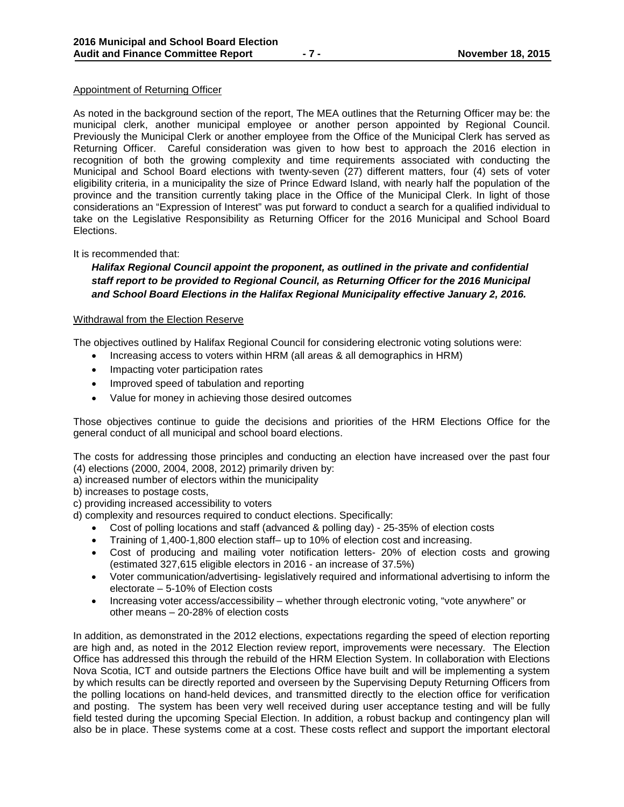#### Appointment of Returning Officer

As noted in the background section of the report, The MEA outlines that the Returning Officer may be: the municipal clerk, another municipal employee or another person appointed by Regional Council. Previously the Municipal Clerk or another employee from the Office of the Municipal Clerk has served as Returning Officer. Careful consideration was given to how best to approach the 2016 election in recognition of both the growing complexity and time requirements associated with conducting the Municipal and School Board elections with twenty-seven (27) different matters, four (4) sets of voter eligibility criteria, in a municipality the size of Prince Edward Island, with nearly half the population of the province and the transition currently taking place in the Office of the Municipal Clerk. In light of those considerations an "Expression of Interest" was put forward to conduct a search for a qualified individual to take on the Legislative Responsibility as Returning Officer for the 2016 Municipal and School Board Elections.

#### It is recommended that:

*Halifax Regional Council appoint the proponent, as outlined in the private and confidential staff report to be provided to Regional Council, as Returning Officer for the 2016 Municipal and School Board Elections in the Halifax Regional Municipality effective January 2, 2016.* 

#### Withdrawal from the Election Reserve

The objectives outlined by Halifax Regional Council for considering electronic voting solutions were:

- Increasing access to voters within HRM (all areas & all demographics in HRM)
- Impacting voter participation rates
- Improved speed of tabulation and reporting
- Value for money in achieving those desired outcomes

Those objectives continue to guide the decisions and priorities of the HRM Elections Office for the general conduct of all municipal and school board elections.

The costs for addressing those principles and conducting an election have increased over the past four (4) elections (2000, 2004, 2008, 2012) primarily driven by:

- a) increased number of electors within the municipality
- b) increases to postage costs,

c) providing increased accessibility to voters

d) complexity and resources required to conduct elections. Specifically:

- Cost of polling locations and staff (advanced & polling day) 25-35% of election costs
- Training of 1,400-1,800 election staff– up to 10% of election cost and increasing.
- Cost of producing and mailing voter notification letters- 20% of election costs and growing (estimated 327,615 eligible electors in 2016 - an increase of 37.5%)
- Voter communication/advertising- legislatively required and informational advertising to inform the electorate – 5-10% of Election costs
- Increasing voter access/accessibility whether through electronic voting, "vote anywhere" or other means – 20-28% of election costs

In addition, as demonstrated in the 2012 elections, expectations regarding the speed of election reporting are high and, as noted in the 2012 Election review report, improvements were necessary. The Election Office has addressed this through the rebuild of the HRM Election System. In collaboration with Elections Nova Scotia, ICT and outside partners the Elections Office have built and will be implementing a system by which results can be directly reported and overseen by the Supervising Deputy Returning Officers from the polling locations on hand-held devices, and transmitted directly to the election office for verification and posting. The system has been very well received during user acceptance testing and will be fully field tested during the upcoming Special Election. In addition, a robust backup and contingency plan will also be in place. These systems come at a cost. These costs reflect and support the important electoral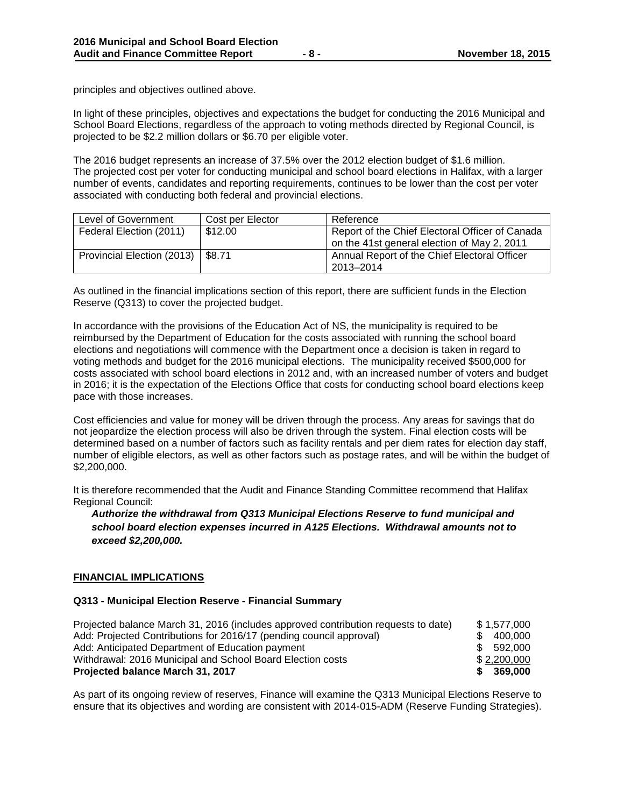principles and objectives outlined above.

In light of these principles, objectives and expectations the budget for conducting the 2016 Municipal and School Board Elections, regardless of the approach to voting methods directed by Regional Council, is projected to be \$2.2 million dollars or \$6.70 per eligible voter.

The 2016 budget represents an increase of 37.5% over the 2012 election budget of \$1.6 million. The projected cost per voter for conducting municipal and school board elections in Halifax, with a larger number of events, candidates and reporting requirements, continues to be lower than the cost per voter associated with conducting both federal and provincial elections.

| Level of Government                 | Cost per Elector | Reference                                       |
|-------------------------------------|------------------|-------------------------------------------------|
| Federal Election (2011)             | \$12.00          | Report of the Chief Electoral Officer of Canada |
|                                     |                  | on the 41st general election of May 2, 2011     |
| Provincial Election (2013)   \$8.71 |                  | Annual Report of the Chief Electoral Officer    |
|                                     |                  | 2013-2014                                       |

As outlined in the financial implications section of this report, there are sufficient funds in the Election Reserve (Q313) to cover the projected budget.

In accordance with the provisions of the Education Act of NS, the municipality is required to be reimbursed by the Department of Education for the costs associated with running the school board elections and negotiations will commence with the Department once a decision is taken in regard to voting methods and budget for the 2016 municipal elections. The municipality received \$500,000 for costs associated with school board elections in 2012 and, with an increased number of voters and budget in 2016; it is the expectation of the Elections Office that costs for conducting school board elections keep pace with those increases.

Cost efficiencies and value for money will be driven through the process. Any areas for savings that do not jeopardize the election process will also be driven through the system. Final election costs will be determined based on a number of factors such as facility rentals and per diem rates for election day staff, number of eligible electors, as well as other factors such as postage rates, and will be within the budget of \$2,200,000.

It is therefore recommended that the Audit and Finance Standing Committee recommend that Halifax Regional Council:

*Authorize the withdrawal from Q313 Municipal Elections Reserve to fund municipal and school board election expenses incurred in A125 Elections. Withdrawal amounts not to exceed \$2,200,000.*

#### **FINANCIAL IMPLICATIONS**

#### **Q313 - Municipal Election Reserve - Financial Summary**

| Projected balance March 31, 2016 (includes approved contribution requests to date) | \$1.577.000    |
|------------------------------------------------------------------------------------|----------------|
| Add: Projected Contributions for 2016/17 (pending council approval)                | 400.000        |
| Add: Anticipated Department of Education payment                                   | 592.000<br>SG. |
| Withdrawal: 2016 Municipal and School Board Election costs                         | \$2,200,000    |
| Projected balance March 31, 2017                                                   | 369,000<br>S.  |

As part of its ongoing review of reserves, Finance will examine the Q313 Municipal Elections Reserve to ensure that its objectives and wording are consistent with 2014-015-ADM (Reserve Funding Strategies).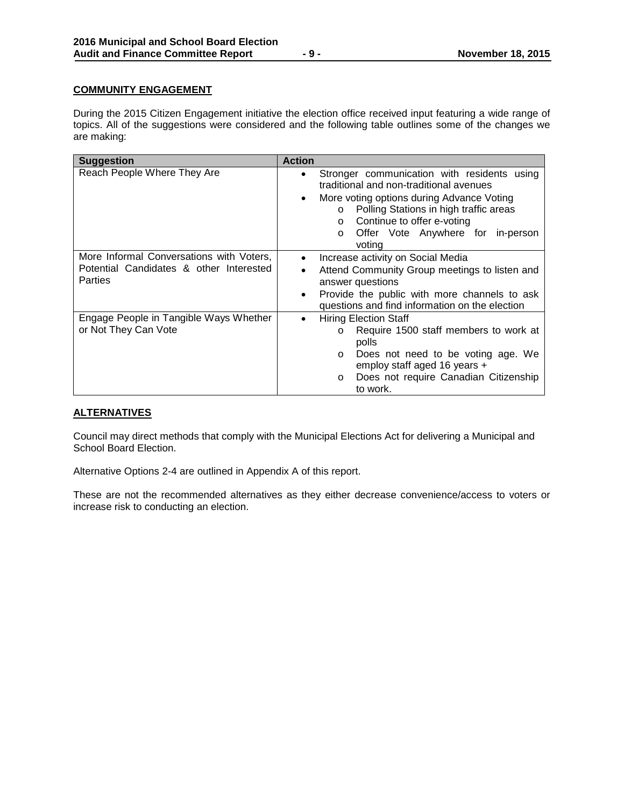#### **COMMUNITY ENGAGEMENT**

During the 2015 Citizen Engagement initiative the election office received input featuring a wide range of topics. All of the suggestions were considered and the following table outlines some of the changes we are making:

| <b>Suggestion</b>                                                                                     | <b>Action</b>                                                                                                                                                                                                                                                                                                         |  |  |
|-------------------------------------------------------------------------------------------------------|-----------------------------------------------------------------------------------------------------------------------------------------------------------------------------------------------------------------------------------------------------------------------------------------------------------------------|--|--|
| Reach People Where They Are                                                                           | Stronger communication with residents using<br>$\bullet$<br>traditional and non-traditional avenues<br>More voting options during Advance Voting<br>$\bullet$<br>Polling Stations in high traffic areas<br>$\circ$<br>Continue to offer e-voting<br>$\circ$<br>Offer Vote Anywhere for in-person<br>$\circ$<br>voting |  |  |
| More Informal Conversations with Voters,<br>Potential Candidates & other Interested<br><b>Parties</b> | Increase activity on Social Media<br>$\bullet$<br>Attend Community Group meetings to listen and<br>٠<br>answer questions<br>Provide the public with more channels to ask<br>٠<br>questions and find information on the election                                                                                       |  |  |
| Engage People in Tangible Ways Whether<br>or Not They Can Vote                                        | <b>Hiring Election Staff</b><br>$\bullet$<br>Require 1500 staff members to work at<br>$\circ$<br>polls<br>Does not need to be voting age. We<br>$\circ$<br>employ staff aged 16 years +<br>Does not require Canadian Citizenship<br>$\circ$<br>to work.                                                               |  |  |

#### **ALTERNATIVES**

Council may direct methods that comply with the Municipal Elections Act for delivering a Municipal and School Board Election.

Alternative Options 2-4 are outlined in Appendix A of this report.

These are not the recommended alternatives as they either decrease convenience/access to voters or increase risk to conducting an election.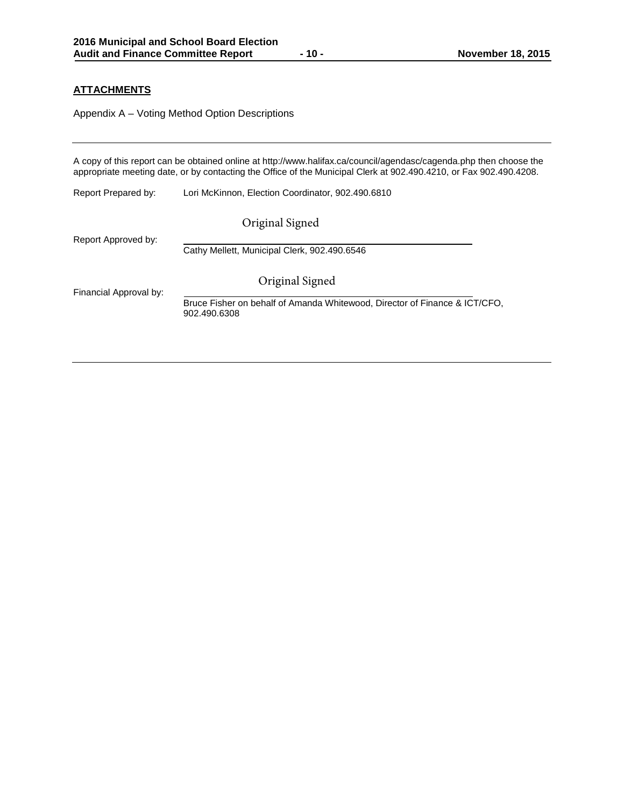#### **ATTACHMENTS**

Appendix A – Voting Method Option Descriptions

A copy of this report can be obtained online at http://www.halifax.ca/council/agendasc/cagenda.php then choose the appropriate meeting date, or by contacting the Office of the Municipal Clerk at 902.490.4210, or Fax 902.490.4208. Report Prepared by: Lori McKinnon, Election Coordinator, 902.490.6810 Report Approved by: Cathy Mellett, Municipal Clerk, 902.490.6546 Financial Approval by: Bruce Fisher on behalf of Amanda Whitewood, Director of Finance & ICT/CFO, 902.490.6308 Original Signed Original Signed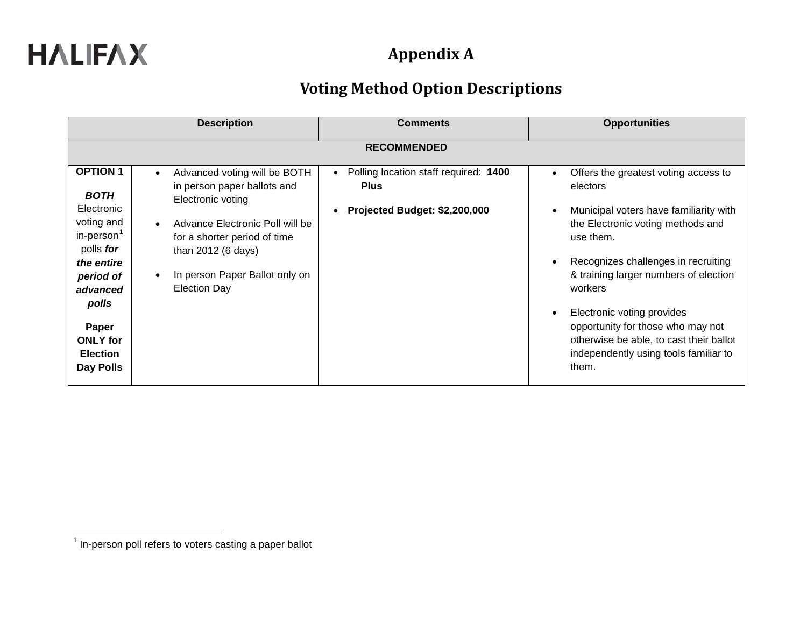| <b>Description</b>                                                                                                                                                                                            |                                                                                                                                                                                                                                    | <b>Comments</b>                                                                                                 | <b>Opportunities</b>                                                                                                                                                                                                                                                                                                                                                                                    |
|---------------------------------------------------------------------------------------------------------------------------------------------------------------------------------------------------------------|------------------------------------------------------------------------------------------------------------------------------------------------------------------------------------------------------------------------------------|-----------------------------------------------------------------------------------------------------------------|---------------------------------------------------------------------------------------------------------------------------------------------------------------------------------------------------------------------------------------------------------------------------------------------------------------------------------------------------------------------------------------------------------|
|                                                                                                                                                                                                               |                                                                                                                                                                                                                                    | <b>RECOMMENDED</b>                                                                                              |                                                                                                                                                                                                                                                                                                                                                                                                         |
| <b>OPTION 1</b><br><b>BOTH</b><br>Electronic<br>voting and<br>in-person <sup>1</sup><br>polls for<br>the entire<br>period of<br>advanced<br>polls<br>Paper<br><b>ONLY</b> for<br><b>Election</b><br>Day Polls | Advanced voting will be BOTH<br>in person paper ballots and<br>Electronic voting<br>Advance Electronic Poll will be<br>for a shorter period of time<br>than 2012 (6 days)<br>In person Paper Ballot only on<br><b>Election Day</b> | Polling location staff required: 1400<br>$\bullet$<br><b>Plus</b><br>Projected Budget: \$2,200,000<br>$\bullet$ | Offers the greatest voting access to<br>electors<br>Municipal voters have familiarity with<br>the Electronic voting methods and<br>use them.<br>Recognizes challenges in recruiting<br>& training larger numbers of election<br>workers<br>Electronic voting provides<br>opportunity for those who may not<br>otherwise be able, to cast their ballot<br>independently using tools familiar to<br>them. |

 $1$  In-person poll refers to voters casting a paper ballot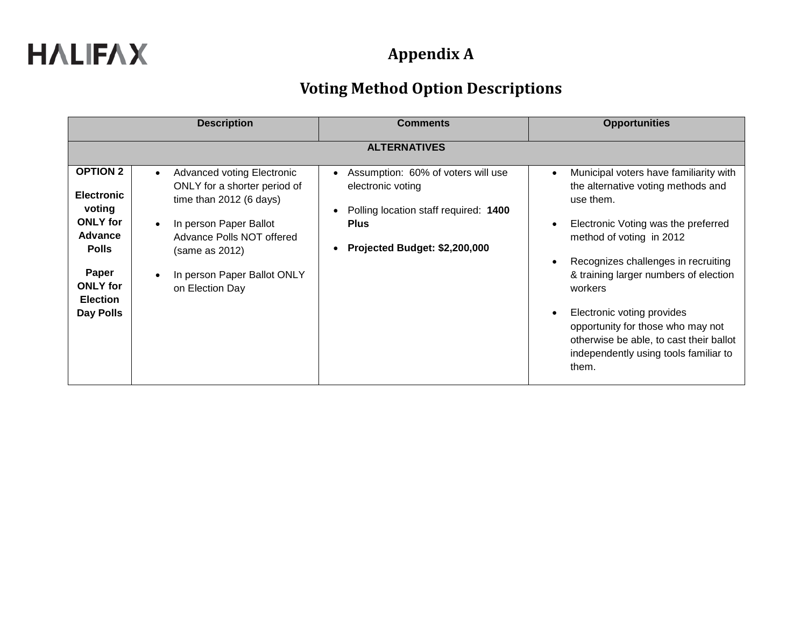| <b>Description</b>                                                                                  |                                                                                                                                                                  | <b>Comments</b>                                                                                                                                                                         | <b>Opportunities</b>                                                                                                                                                                                             |
|-----------------------------------------------------------------------------------------------------|------------------------------------------------------------------------------------------------------------------------------------------------------------------|-----------------------------------------------------------------------------------------------------------------------------------------------------------------------------------------|------------------------------------------------------------------------------------------------------------------------------------------------------------------------------------------------------------------|
|                                                                                                     |                                                                                                                                                                  | <b>ALTERNATIVES</b>                                                                                                                                                                     |                                                                                                                                                                                                                  |
| <b>OPTION 2</b><br><b>Electronic</b><br>voting<br><b>ONLY</b> for<br><b>Advance</b><br><b>Polls</b> | Advanced voting Electronic<br>ONLY for a shorter period of<br>time than $2012$ (6 days)<br>In person Paper Ballot<br>Advance Polls NOT offered<br>(same as 2012) | Assumption: 60% of voters will use<br>$\bullet$<br>electronic voting<br>Polling location staff required: 1400<br>$\bullet$<br><b>Plus</b><br>Projected Budget: \$2,200,000<br>$\bullet$ | Municipal voters have familiarity with<br>the alternative voting methods and<br>use them.<br>Electronic Voting was the preferred<br>method of voting in 2012<br>Recognizes challenges in recruiting              |
| Paper<br><b>ONLY</b> for<br><b>Election</b><br>Day Polls                                            | In person Paper Ballot ONLY<br>on Election Day                                                                                                                   |                                                                                                                                                                                         | & training larger numbers of election<br>workers<br>Electronic voting provides<br>opportunity for those who may not<br>otherwise be able, to cast their ballot<br>independently using tools familiar to<br>them. |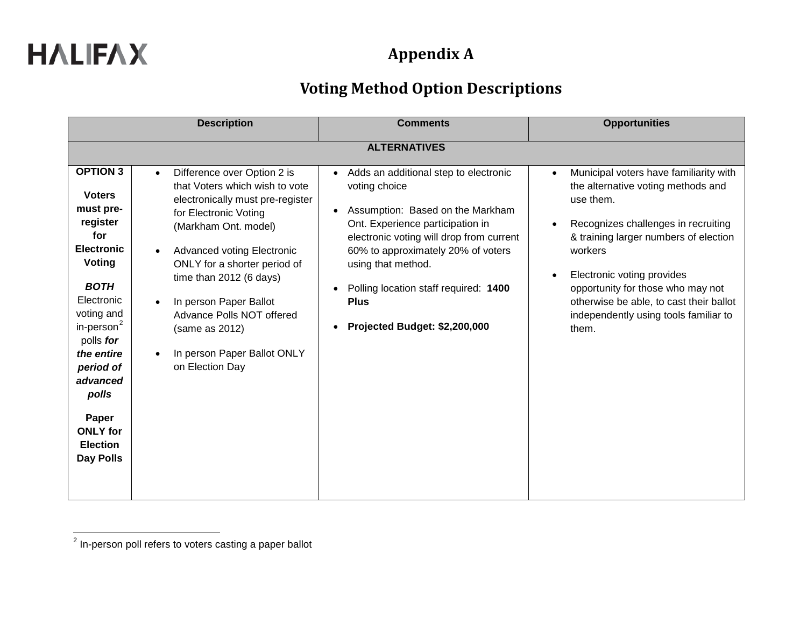|                                                                                                                                                                                                                                                                                             | <b>Description</b>                                                                                                                                                                                                                                                                                                                                                                         | <b>Comments</b>                                                                                                                                                                                                                                                                                                                                                        | <b>Opportunities</b>                                                                                                                                                                                                                                                                                                                                 |
|---------------------------------------------------------------------------------------------------------------------------------------------------------------------------------------------------------------------------------------------------------------------------------------------|--------------------------------------------------------------------------------------------------------------------------------------------------------------------------------------------------------------------------------------------------------------------------------------------------------------------------------------------------------------------------------------------|------------------------------------------------------------------------------------------------------------------------------------------------------------------------------------------------------------------------------------------------------------------------------------------------------------------------------------------------------------------------|------------------------------------------------------------------------------------------------------------------------------------------------------------------------------------------------------------------------------------------------------------------------------------------------------------------------------------------------------|
|                                                                                                                                                                                                                                                                                             |                                                                                                                                                                                                                                                                                                                                                                                            | <b>ALTERNATIVES</b>                                                                                                                                                                                                                                                                                                                                                    |                                                                                                                                                                                                                                                                                                                                                      |
| <b>OPTION 3</b><br><b>Voters</b><br>must pre-<br>register<br>for<br><b>Electronic</b><br>Voting<br><b>BOTH</b><br>Electronic<br>voting and<br>in-person $2$<br>polls for<br>the entire<br>period of<br>advanced<br>polls<br>Paper<br><b>ONLY</b> for<br><b>Election</b><br><b>Day Polls</b> | Difference over Option 2 is<br>$\bullet$<br>that Voters which wish to vote<br>electronically must pre-register<br>for Electronic Voting<br>(Markham Ont. model)<br><b>Advanced voting Electronic</b><br>ONLY for a shorter period of<br>time than 2012 (6 days)<br>In person Paper Ballot<br>Advance Polls NOT offered<br>(same as 2012)<br>In person Paper Ballot ONLY<br>on Election Day | Adds an additional step to electronic<br>$\bullet$<br>voting choice<br>Assumption: Based on the Markham<br>$\bullet$<br>Ont. Experience participation in<br>electronic voting will drop from current<br>60% to approximately 20% of voters<br>using that method.<br>Polling location staff required: 1400<br><b>Plus</b><br>Projected Budget: \$2,200,000<br>$\bullet$ | Municipal voters have familiarity with<br>the alternative voting methods and<br>use them.<br>Recognizes challenges in recruiting<br>& training larger numbers of election<br>workers<br>Electronic voting provides<br>opportunity for those who may not<br>otherwise be able, to cast their ballot<br>independently using tools familiar to<br>them. |

 $2$  In-person poll refers to voters casting a paper ballot